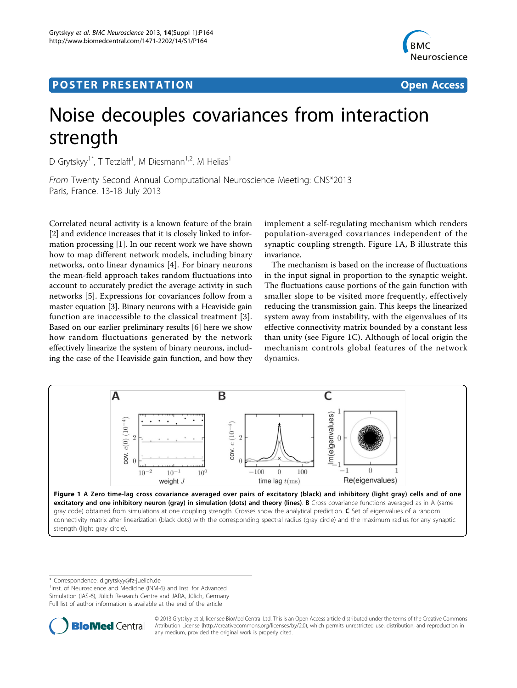## Post Experimental Police in the St English Police in the St English Police in the St English Police in the St<br>Police in the St English Police in the St English Police in the St English Police in the St English Police in



# Noise decouples covariances from interaction strength

D Grytskyy<sup>1\*</sup>, T Tetzlaff<sup>1</sup>, M Diesmann<sup>1,2</sup>, M Helias<sup>1</sup>

From Twenty Second Annual Computational Neuroscience Meeting: CNS\*2013 Paris, France. 13-18 July 2013

Correlated neural activity is a known feature of the brain [[2\]](#page-1-0) and evidence increases that it is closely linked to information processing [[1\]](#page-1-0). In our recent work we have shown how to map different network models, including binary networks, onto linear dynamics [[4\]](#page-1-0). For binary neurons the mean-field approach takes random fluctuations into account to accurately predict the average activity in such networks [\[5](#page-1-0)]. Expressions for covariances follow from a master equation [[3](#page-1-0)]. Binary neurons with a Heaviside gain function are inaccessible to the classical treatment [[3\]](#page-1-0). Based on our earlier preliminary results [\[6\]](#page-1-0) here we show how random fluctuations generated by the network effectively linearize the system of binary neurons, including the case of the Heaviside gain function, and how they

implement a self-regulating mechanism which renders population-averaged covariances independent of the synaptic coupling strength. Figure 1A, B illustrate this invariance.

The mechanism is based on the increase of fluctuations in the input signal in proportion to the synaptic weight. The fluctuations cause portions of the gain function with smaller slope to be visited more frequently, effectively reducing the transmission gain. This keeps the linearized system away from instability, with the eigenvalues of its effective connectivity matrix bounded by a constant less than unity (see Figure 1C). Although of local origin the mechanism controls global features of the network dynamics.



\* Correspondence: [d.grytskyy@fz-juelich.de](mailto:d.grytskyy@fz-juelich.de)

strength (light gray circle).

<sup>1</sup>Inst. of Neuroscience and Medicine (INM-6) and Inst. for Advanced Simulation (IAS-6), Jülich Research Centre and JARA, Jülich, Germany Full list of author information is available at the end of the article



© 2013 Grytskyy et al; licensee BioMed Central Ltd. This is an Open Access article distributed under the terms of the Creative Commons Attribution License [\(http://creativecommons.org/licenses/by/2.0](http://creativecommons.org/licenses/by/2.0)), which permits unrestricted use, distribution, and reproduction in any medium, provided the original work is properly cited.